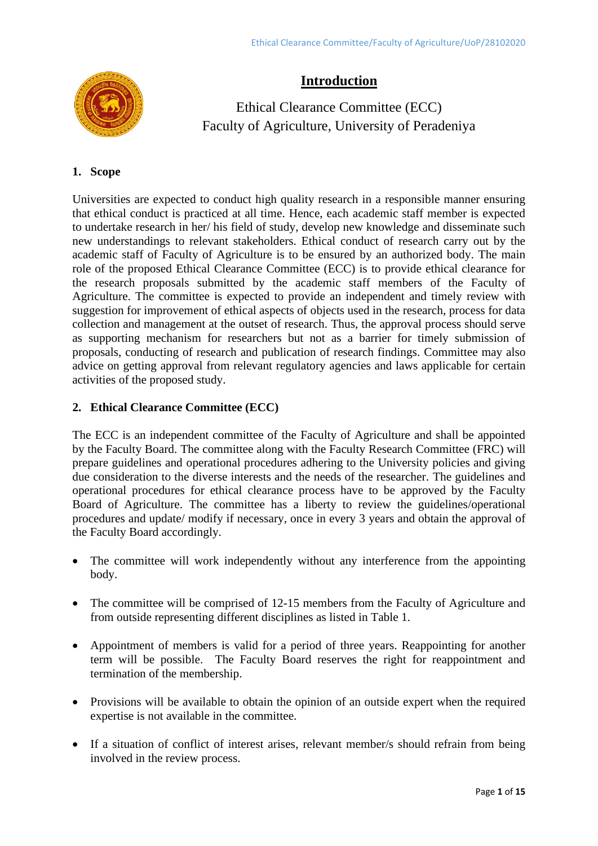

# **Introduction**

Ethical Clearance Committee (ECC) Faculty of Agriculture, University of Peradeniya

## **1. Scope**

Universities are expected to conduct high quality research in a responsible manner ensuring that ethical conduct is practiced at all time. Hence, each academic staff member is expected to undertake research in her/ his field of study, develop new knowledge and disseminate such new understandings to relevant stakeholders. Ethical conduct of research carry out by the academic staff of Faculty of Agriculture is to be ensured by an authorized body. The main role of the proposed Ethical Clearance Committee (ECC) is to provide ethical clearance for the research proposals submitted by the academic staff members of the Faculty of Agriculture. The committee is expected to provide an independent and timely review with suggestion for improvement of ethical aspects of objects used in the research, process for data collection and management at the outset of research. Thus, the approval process should serve as supporting mechanism for researchers but not as a barrier for timely submission of proposals, conducting of research and publication of research findings. Committee may also advice on getting approval from relevant regulatory agencies and laws applicable for certain activities of the proposed study.

## **2. Ethical Clearance Committee (ECC)**

The ECC is an independent committee of the Faculty of Agriculture and shall be appointed by the Faculty Board. The committee along with the Faculty Research Committee (FRC) will prepare guidelines and operational procedures adhering to the University policies and giving due consideration to the diverse interests and the needs of the researcher. The guidelines and operational procedures for ethical clearance process have to be approved by the Faculty Board of Agriculture. The committee has a liberty to review the guidelines/operational procedures and update/ modify if necessary, once in every 3 years and obtain the approval of the Faculty Board accordingly.

- The committee will work independently without any interference from the appointing body.
- The committee will be comprised of 12-15 members from the Faculty of Agriculture and from outside representing different disciplines as listed in Table 1.
- Appointment of members is valid for a period of three years. Reappointing for another term will be possible. The Faculty Board reserves the right for reappointment and termination of the membership.
- Provisions will be available to obtain the opinion of an outside expert when the required expertise is not available in the committee.
- If a situation of conflict of interest arises, relevant member/s should refrain from being involved in the review process.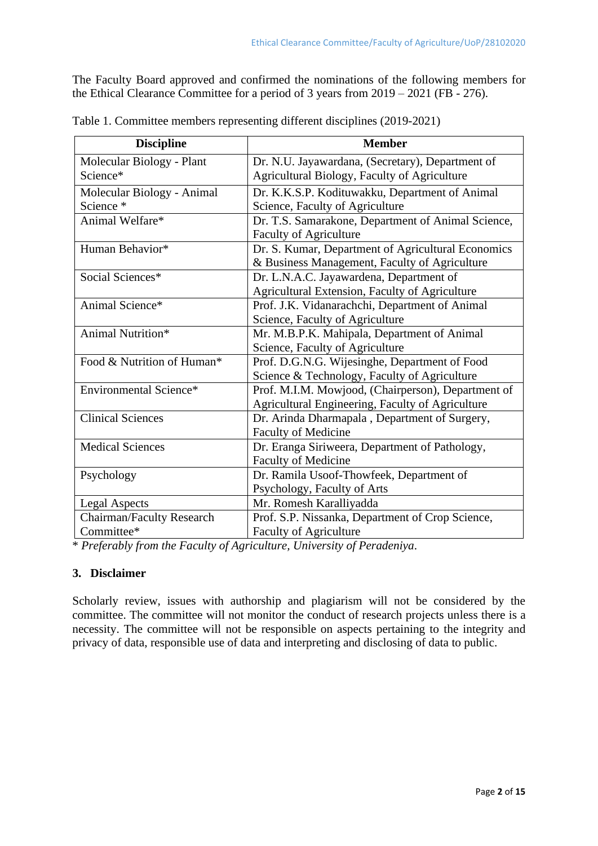The Faculty Board approved and confirmed the nominations of the following members for the Ethical Clearance Committee for a period of 3 years from 2019 – 2021 (FB - 276).

| <b>Discipline</b>          | <b>Member</b>                                      |  |
|----------------------------|----------------------------------------------------|--|
| Molecular Biology - Plant  | Dr. N.U. Jayawardana, (Secretary), Department of   |  |
| Science*                   | Agricultural Biology, Faculty of Agriculture       |  |
| Molecular Biology - Animal | Dr. K.K.S.P. Kodituwakku, Department of Animal     |  |
| Science *                  | Science, Faculty of Agriculture                    |  |
| Animal Welfare*            | Dr. T.S. Samarakone, Department of Animal Science, |  |
|                            | <b>Faculty of Agriculture</b>                      |  |
| Human Behavior*            | Dr. S. Kumar, Department of Agricultural Economics |  |
|                            | & Business Management, Faculty of Agriculture      |  |
| Social Sciences*           | Dr. L.N.A.C. Jayawardena, Department of            |  |
|                            | Agricultural Extension, Faculty of Agriculture     |  |
| Animal Science*            | Prof. J.K. Vidanarachchi, Department of Animal     |  |
|                            | Science, Faculty of Agriculture                    |  |
| Animal Nutrition*          | Mr. M.B.P.K. Mahipala, Department of Animal        |  |
|                            | Science, Faculty of Agriculture                    |  |
| Food & Nutrition of Human* | Prof. D.G.N.G. Wijesinghe, Department of Food      |  |
|                            | Science & Technology, Faculty of Agriculture       |  |
| Environmental Science*     | Prof. M.I.M. Mowjood, (Chairperson), Department of |  |
|                            | Agricultural Engineering, Faculty of Agriculture   |  |
| <b>Clinical Sciences</b>   | Dr. Arinda Dharmapala, Department of Surgery,      |  |
|                            | <b>Faculty of Medicine</b>                         |  |
| <b>Medical Sciences</b>    | Dr. Eranga Siriweera, Department of Pathology,     |  |
|                            | Faculty of Medicine                                |  |
| Psychology                 | Dr. Ramila Usoof-Thowfeek, Department of           |  |
|                            | Psychology, Faculty of Arts                        |  |
| <b>Legal Aspects</b>       | Mr. Romesh Karalliyadda                            |  |
| Chairman/Faculty Research  | Prof. S.P. Nissanka, Department of Crop Science,   |  |
| Committee*                 | <b>Faculty of Agriculture</b>                      |  |

Table 1. Committee members representing different disciplines (2019-2021)

\* *Preferably from the Faculty of Agriculture, University of Peradeniya*.

#### **3. Disclaimer**

Scholarly review, issues with authorship and plagiarism will not be considered by the committee. The committee will not monitor the conduct of research projects unless there is a necessity. The committee will not be responsible on aspects pertaining to the integrity and privacy of data, responsible use of data and interpreting and disclosing of data to public.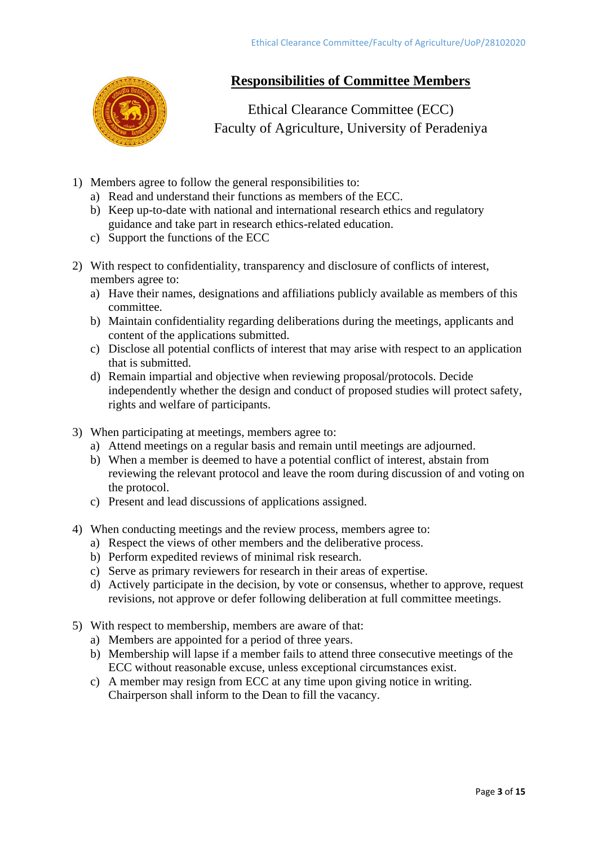

# **Responsibilities of Committee Members**

Ethical Clearance Committee (ECC) Faculty of Agriculture, University of Peradeniya

- 1) Members agree to follow the general responsibilities to:
	- a) Read and understand their functions as members of the ECC.
	- b) Keep up-to-date with national and international research ethics and regulatory guidance and take part in research ethics-related education.
	- c) Support the functions of the ECC
- 2) With respect to confidentiality, transparency and disclosure of conflicts of interest, members agree to:
	- a) Have their names, designations and affiliations publicly available as members of this committee.
	- b) Maintain confidentiality regarding deliberations during the meetings, applicants and content of the applications submitted.
	- c) Disclose all potential conflicts of interest that may arise with respect to an application that is submitted.
	- d) Remain impartial and objective when reviewing proposal/protocols. Decide independently whether the design and conduct of proposed studies will protect safety, rights and welfare of participants.
- 3) When participating at meetings, members agree to:
	- a) Attend meetings on a regular basis and remain until meetings are adjourned.
	- b) When a member is deemed to have a potential conflict of interest, abstain from reviewing the relevant protocol and leave the room during discussion of and voting on the protocol.
	- c) Present and lead discussions of applications assigned.
- 4) When conducting meetings and the review process, members agree to:
	- a) Respect the views of other members and the deliberative process.
	- b) Perform expedited reviews of minimal risk research.
	- c) Serve as primary reviewers for research in their areas of expertise.
	- d) Actively participate in the decision, by vote or consensus, whether to approve, request revisions, not approve or defer following deliberation at full committee meetings.
- 5) With respect to membership, members are aware of that:
	- a) Members are appointed for a period of three years.
	- b) Membership will lapse if a member fails to attend three consecutive meetings of the ECC without reasonable excuse, unless exceptional circumstances exist.
	- c) A member may resign from ECC at any time upon giving notice in writing. Chairperson shall inform to the Dean to fill the vacancy.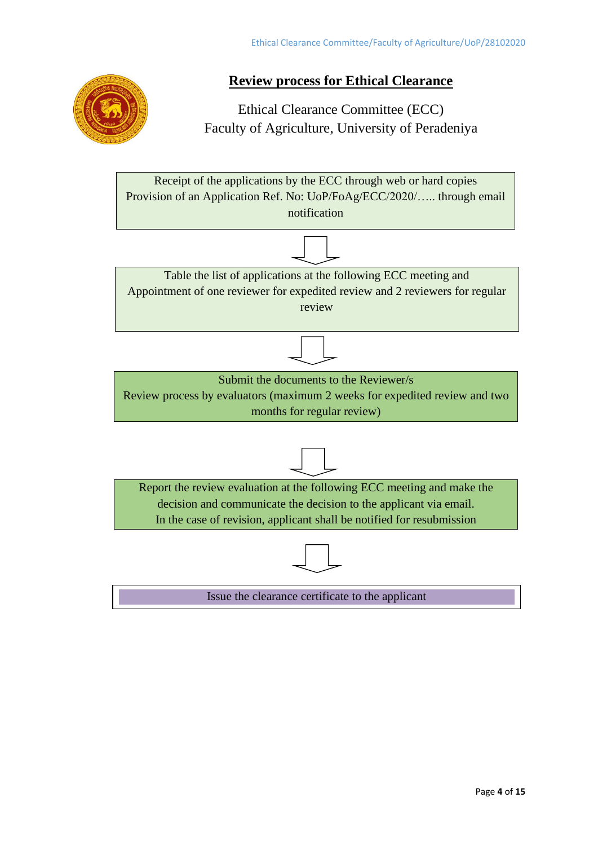

# **Review process for Ethical Clearance**

Ethical Clearance Committee (ECC) Faculty of Agriculture, University of Peradeniya

Receipt of the applications by the ECC through web or hard copies Provision of an Application Ref. No: UoP/FoAg/ECC/2020/….. through email notification



Table the list of applications at the following ECC meeting and Appointment of one reviewer for expedited review and 2 reviewers for regular review



Submit the documents to the Reviewer/s

Review process by evaluators (maximum 2 weeks for expedited review and two months for regular review)





Issue the clearance certificate to the applicant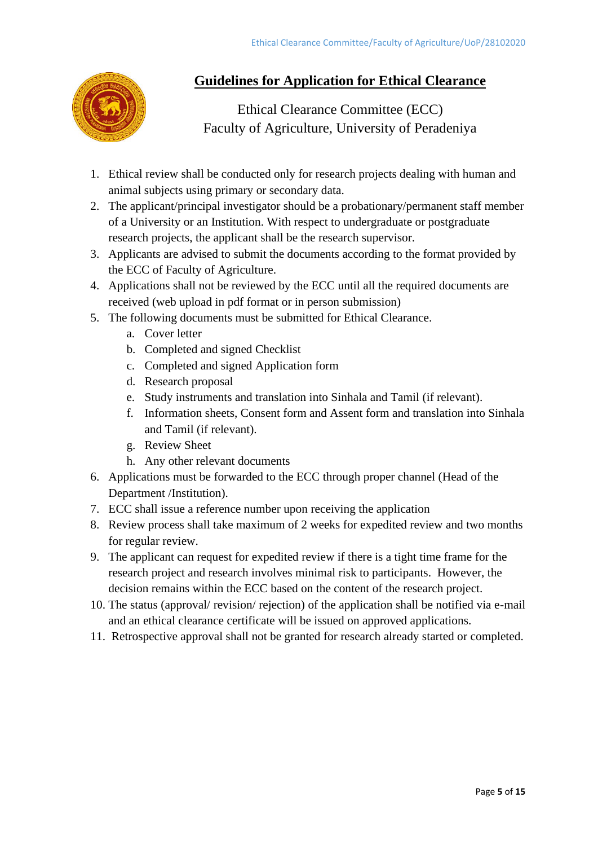

# **Guidelines for Application for Ethical Clearance**

Ethical Clearance Committee (ECC) Faculty of Agriculture, University of Peradeniya

- 1. Ethical review shall be conducted only for research projects dealing with human and animal subjects using primary or secondary data.
- 2. The applicant/principal investigator should be a probationary/permanent staff member of a University or an Institution. With respect to undergraduate or postgraduate research projects, the applicant shall be the research supervisor.
- 3. Applicants are advised to submit the documents according to the format provided by the ECC of Faculty of Agriculture.
- 4. Applications shall not be reviewed by the ECC until all the required documents are received (web upload in pdf format or in person submission)
- 5. The following documents must be submitted for Ethical Clearance.
	- a. Cover letter
	- b. Completed and signed Checklist
	- c. Completed and signed Application form
	- d. Research proposal
	- e. Study instruments and translation into Sinhala and Tamil (if relevant).
	- f. Information sheets, Consent form and Assent form and translation into Sinhala and Tamil (if relevant).
	- g. Review Sheet
	- h. Any other relevant documents
- 6. Applications must be forwarded to the ECC through proper channel (Head of the Department /Institution).
- 7. ECC shall issue a reference number upon receiving the application
- 8. Review process shall take maximum of 2 weeks for expedited review and two months for regular review.
- 9. The applicant can request for expedited review if there is a tight time frame for the research project and research involves minimal risk to participants. However, the decision remains within the ECC based on the content of the research project.
- 10. The status (approval/ revision/ rejection) of the application shall be notified via e-mail and an ethical clearance certificate will be issued on approved applications.
- 11. Retrospective approval shall not be granted for research already started or completed.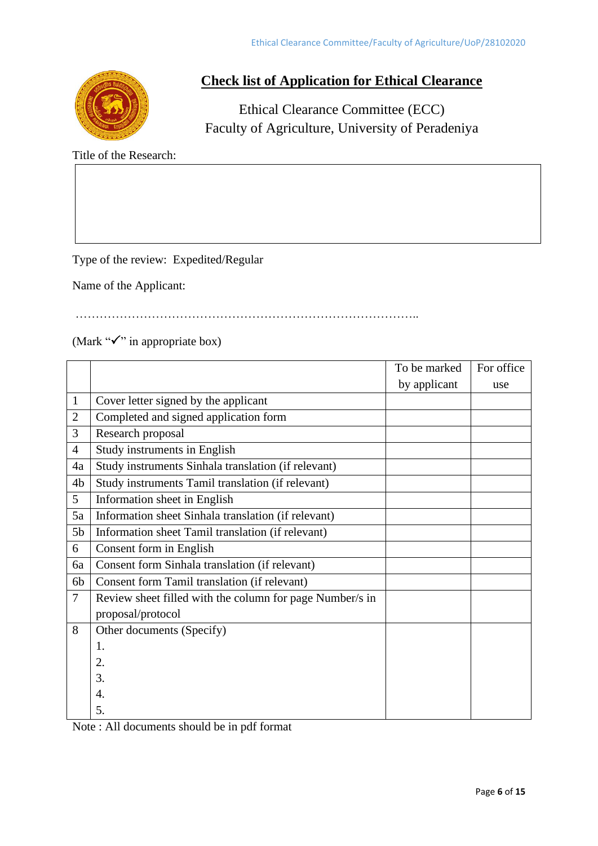

## **Check list of Application for Ethical Clearance**

Ethical Clearance Committee (ECC) Faculty of Agriculture, University of Peradeniya

Title of the Research:

Type of the review: Expedited/Regular

Name of the Applicant:

…………………………………………………………………………..

(Mark " $\checkmark$ " in appropriate box)

|                |                                                          | To be marked | For office |
|----------------|----------------------------------------------------------|--------------|------------|
|                |                                                          | by applicant | use        |
| $\mathbf{1}$   | Cover letter signed by the applicant                     |              |            |
| $\overline{2}$ | Completed and signed application form                    |              |            |
| 3              | Research proposal                                        |              |            |
| $\overline{4}$ | Study instruments in English                             |              |            |
| 4a             | Study instruments Sinhala translation (if relevant)      |              |            |
| 4 <sub>b</sub> | Study instruments Tamil translation (if relevant)        |              |            |
| 5              | Information sheet in English                             |              |            |
| 5a             | Information sheet Sinhala translation (if relevant)      |              |            |
| 5 <sub>b</sub> | Information sheet Tamil translation (if relevant)        |              |            |
| 6              | Consent form in English                                  |              |            |
| 6a             | Consent form Sinhala translation (if relevant)           |              |            |
| 6b             | Consent form Tamil translation (if relevant)             |              |            |
| $\overline{7}$ | Review sheet filled with the column for page Number/s in |              |            |
|                | proposal/protocol                                        |              |            |
| 8              | Other documents (Specify)                                |              |            |
|                | 1.                                                       |              |            |
|                | 2.                                                       |              |            |
|                | 3.                                                       |              |            |
|                | 4.                                                       |              |            |
|                | 5.                                                       |              |            |

Note : All documents should be in pdf format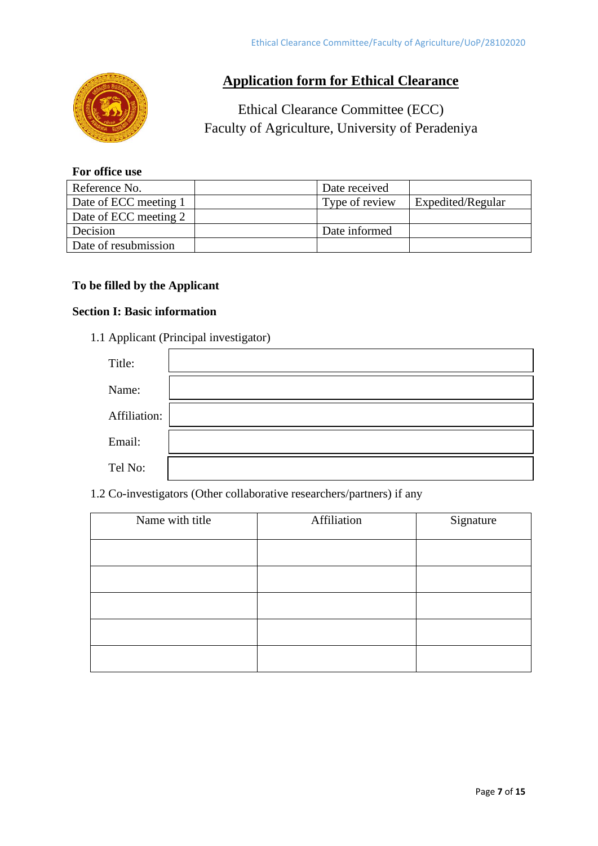

# **Application form for Ethical Clearance**

# Ethical Clearance Committee (ECC) Faculty of Agriculture, University of Peradeniya

#### **For office use**

| Reference No.         | Date received  |                   |
|-----------------------|----------------|-------------------|
| Date of ECC meeting 1 | Type of review | Expedited/Regular |
| Date of ECC meeting 2 |                |                   |
| Decision              | Date informed  |                   |
| Date of resubmission  |                |                   |

## **To be filled by the Applicant**

## **Section I: Basic information**

1.1 Applicant (Principal investigator)

| Title:       |  |
|--------------|--|
| Name:        |  |
| Affiliation: |  |
| Email:       |  |
| Tel No:      |  |

## 1.2 Co-investigators (Other collaborative researchers/partners) if any

| Name with title | Affiliation | Signature |
|-----------------|-------------|-----------|
|                 |             |           |
|                 |             |           |
|                 |             |           |
|                 |             |           |
|                 |             |           |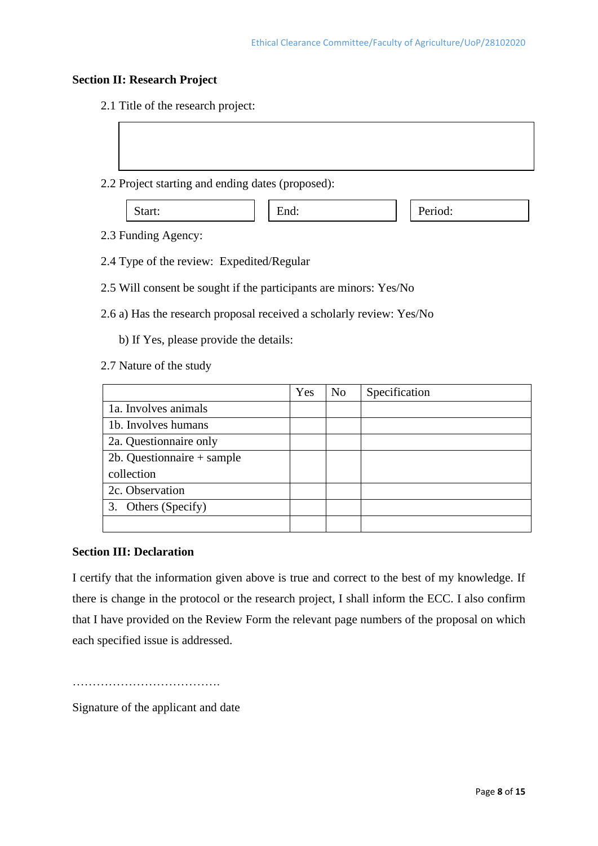#### **Section II: Research Project**

2.1 Title of the research project:

2.2 Project starting and ending dates (proposed):

| tart.<br>້ | _<br>.<br>unu. | cliou.<br>- |
|------------|----------------|-------------|
|------------|----------------|-------------|

- 2.3 Funding Agency:
- 2.4 Type of the review: Expedited/Regular
- 2.5 Will consent be sought if the participants are minors: Yes/No
- 2.6 a) Has the research proposal received a scholarly review: Yes/No
	- b) If Yes, please provide the details:
- 2.7 Nature of the study

|                            | Yes | N <sub>0</sub> | Specification |
|----------------------------|-----|----------------|---------------|
| 1a. Involves animals       |     |                |               |
| 1b. Involves humans        |     |                |               |
| 2a. Questionnaire only     |     |                |               |
| 2b. Questionnaire + sample |     |                |               |
| collection                 |     |                |               |
| 2c. Observation            |     |                |               |
| 3. Others (Specify)        |     |                |               |
|                            |     |                |               |

## **Section III: Declaration**

I certify that the information given above is true and correct to the best of my knowledge. If there is change in the protocol or the research project, I shall inform the ECC. I also confirm that I have provided on the Review Form the relevant page numbers of the proposal on which each specified issue is addressed.

……………………………….

Signature of the applicant and date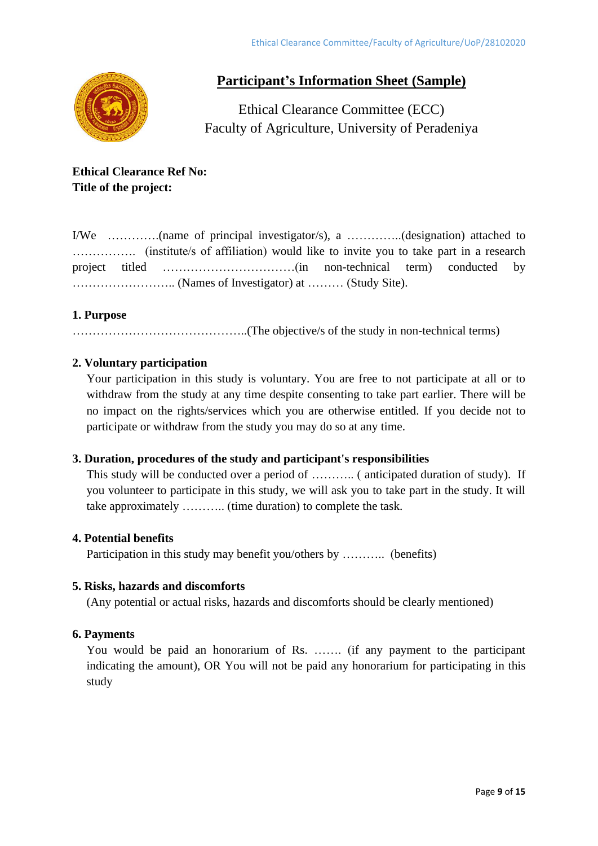

# **Participant's Information Sheet (Sample)**

Ethical Clearance Committee (ECC) Faculty of Agriculture, University of Peradeniya

**Ethical Clearance Ref No: Title of the project:**

I/We ………….(name of principal investigator/s), a …………..(designation) attached to ……………. (institute/s of affiliation) would like to invite you to take part in a research project titled ……………………………(in non-technical term) conducted by …………………….. (Names of Investigator) at ……… (Study Site).

#### **1. Purpose**

……………………………………..(The objective/s of the study in non-technical terms)

## **2. Voluntary participation**

Your participation in this study is voluntary. You are free to not participate at all or to withdraw from the study at any time despite consenting to take part earlier. There will be no impact on the rights/services which you are otherwise entitled. If you decide not to participate or withdraw from the study you may do so at any time.

#### **3. Duration, procedures of the study and participant's responsibilities**

This study will be conducted over a period of ……….. ( anticipated duration of study). If you volunteer to participate in this study, we will ask you to take part in the study. It will take approximately ……….. (time duration) to complete the task.

#### **4. Potential benefits**

Participation in this study may benefit you/others by ……….. (benefits)

#### **5. Risks, hazards and discomforts**

(Any potential or actual risks, hazards and discomforts should be clearly mentioned)

#### **6. Payments**

You would be paid an honorarium of Rs. ……. (if any payment to the participant indicating the amount), OR You will not be paid any honorarium for participating in this study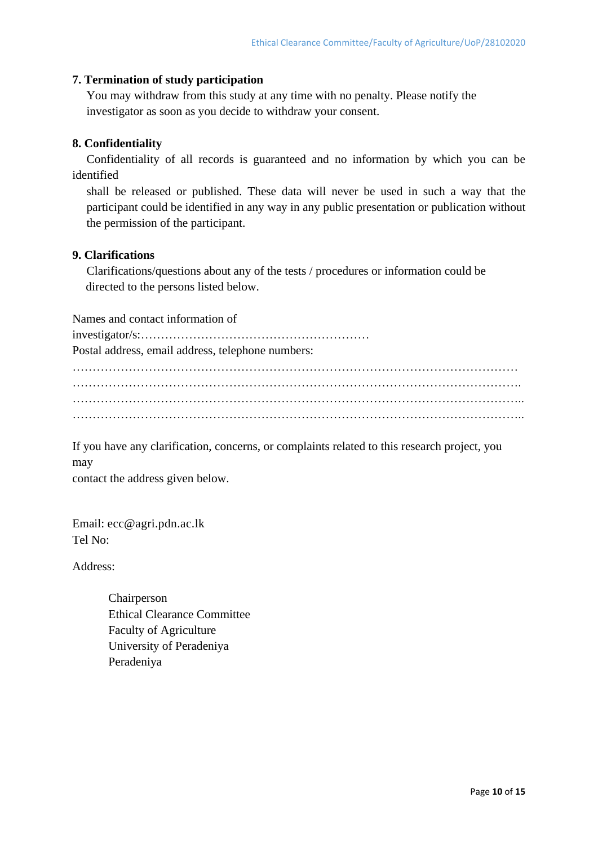#### **7. Termination of study participation**

You may withdraw from this study at any time with no penalty. Please notify the investigator as soon as you decide to withdraw your consent.

#### **8. Confidentiality**

Confidentiality of all records is guaranteed and no information by which you can be identified

shall be released or published. These data will never be used in such a way that the participant could be identified in any way in any public presentation or publication without the permission of the participant.

#### **9. Clarifications**

Clarifications/questions about any of the tests / procedures or information could be directed to the persons listed below.

Names and contact information of investigator/s:………………………………………………… Postal address, email address, telephone numbers: ………………………………………………………………………………………………… …………………………………………………………………………………………………. ………………………………………………………………………………………………….. …………………………………………………………………………………………………..

If you have any clarification, concerns, or complaints related to this research project, you may

contact the address given below.

Email: ecc@agri.pdn.ac.lk  $T_{\text{e}}1 \text{N}_{\Omega}$ .

Address:

Chairperson Ethical Clearance Committee Faculty of Agriculture University of Peradeniya Peradeniya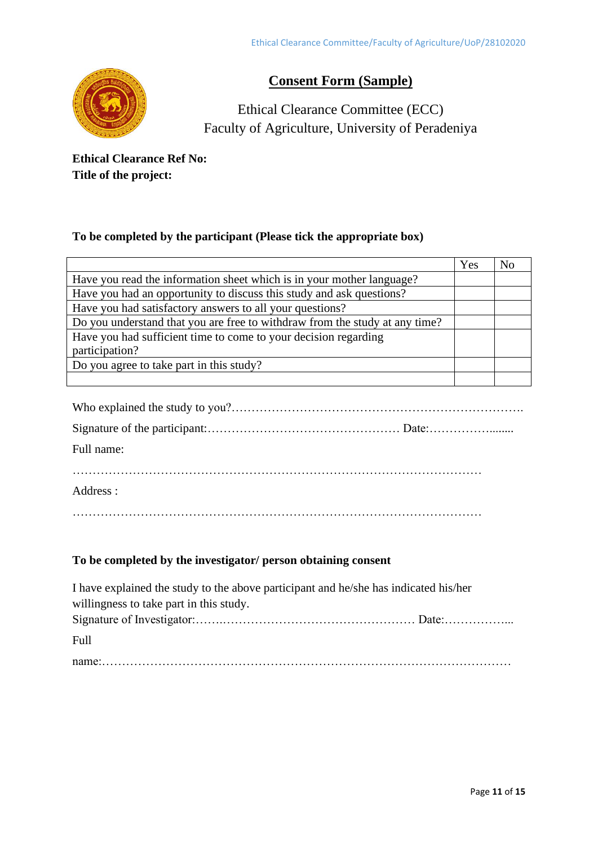

# **Consent Form (Sample)**

Ethical Clearance Committee (ECC) Faculty of Agriculture, University of Peradeniya

**Ethical Clearance Ref No: Title of the project:** 

## **To be completed by the participant (Please tick the appropriate box)**

|                                                                             | Yes | No |
|-----------------------------------------------------------------------------|-----|----|
| Have you read the information sheet which is in your mother language?       |     |    |
| Have you had an opportunity to discuss this study and ask questions?        |     |    |
| Have you had satisfactory answers to all your questions?                    |     |    |
| Do you understand that you are free to withdraw from the study at any time? |     |    |
| Have you had sufficient time to come to your decision regarding             |     |    |
| participation?                                                              |     |    |
| Do you agree to take part in this study?                                    |     |    |
|                                                                             |     |    |

| Full name: |  |
|------------|--|
|            |  |
| Address :  |  |

…………………………………………………………………………………………

## **To be completed by the investigator/ person obtaining consent**

| I have explained the study to the above participant and he/she has indicated his/her |
|--------------------------------------------------------------------------------------|
| willingness to take part in this study.                                              |
|                                                                                      |
| Full                                                                                 |
|                                                                                      |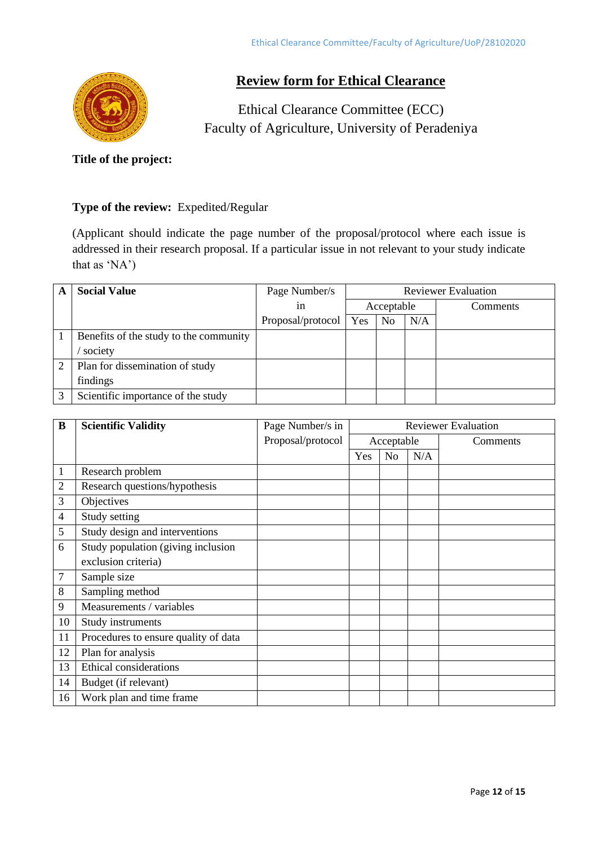

## **Review form for Ethical Clearance**

Ethical Clearance Committee (ECC) Faculty of Agriculture, University of Peradeniya

**Title of the project:** 

#### **Type of the review:** Expedited/Regular

(Applicant should indicate the page number of the proposal/protocol where each issue is addressed in their research proposal. If a particular issue in not relevant to your study indicate that as 'NA')

| A | <b>Social Value</b>                    | Page Number/s     | <b>Reviewer Evaluation</b> |                |     |          |
|---|----------------------------------------|-------------------|----------------------------|----------------|-----|----------|
|   |                                        | 1n                |                            | Acceptable     |     | Comments |
|   |                                        | Proposal/protocol | Yes                        | N <sub>0</sub> | N/A |          |
|   | Benefits of the study to the community |                   |                            |                |     |          |
|   | society                                |                   |                            |                |     |          |
|   | Plan for dissemination of study        |                   |                            |                |     |          |
|   | findings                               |                   |                            |                |     |          |
|   | Scientific importance of the study     |                   |                            |                |     |          |

| B  | <b>Scientific Validity</b>           | Page Number/s in  | <b>Reviewer Evaluation</b> |                |     |          |
|----|--------------------------------------|-------------------|----------------------------|----------------|-----|----------|
|    |                                      | Proposal/protocol | Acceptable                 |                |     | Comments |
|    |                                      |                   | Yes                        | N <sub>0</sub> | N/A |          |
| 1  | Research problem                     |                   |                            |                |     |          |
| 2  | Research questions/hypothesis        |                   |                            |                |     |          |
| 3  | Objectives                           |                   |                            |                |     |          |
| 4  | Study setting                        |                   |                            |                |     |          |
| 5  | Study design and interventions       |                   |                            |                |     |          |
| 6  | Study population (giving inclusion)  |                   |                            |                |     |          |
|    | exclusion criteria)                  |                   |                            |                |     |          |
| 7  | Sample size                          |                   |                            |                |     |          |
| 8  | Sampling method                      |                   |                            |                |     |          |
| 9  | Measurements / variables             |                   |                            |                |     |          |
| 10 | Study instruments                    |                   |                            |                |     |          |
| 11 | Procedures to ensure quality of data |                   |                            |                |     |          |
| 12 | Plan for analysis                    |                   |                            |                |     |          |
| 13 | <b>Ethical considerations</b>        |                   |                            |                |     |          |
| 14 | Budget (if relevant)                 |                   |                            |                |     |          |
| 16 | Work plan and time frame             |                   |                            |                |     |          |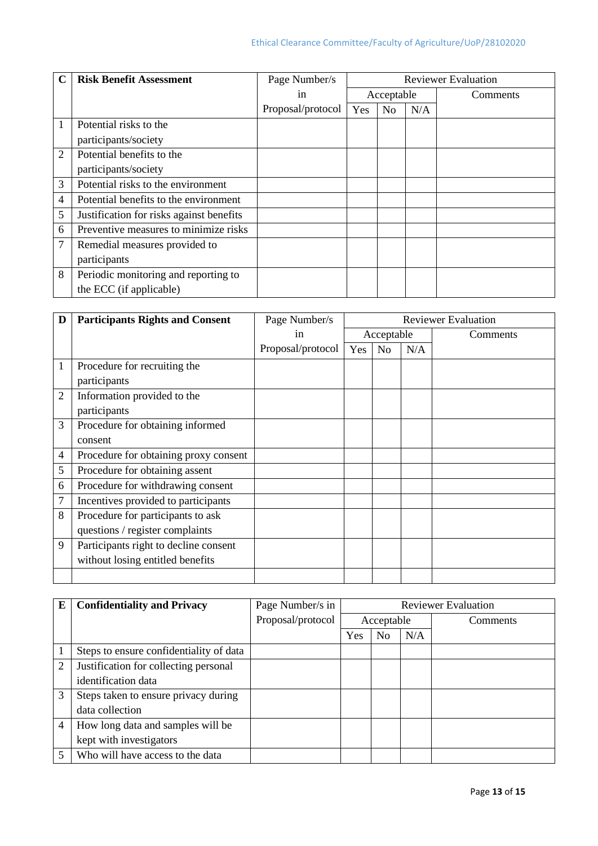|                | <b>Risk Benefit Assessment</b>           | Page Number/s     |            |                |     | <b>Reviewer Evaluation</b> |
|----------------|------------------------------------------|-------------------|------------|----------------|-----|----------------------------|
|                |                                          | 1n                | Acceptable |                |     | Comments                   |
|                |                                          | Proposal/protocol | Yes        | N <sub>o</sub> | N/A |                            |
|                | Potential risks to the                   |                   |            |                |     |                            |
|                | participants/society                     |                   |            |                |     |                            |
| $\overline{2}$ | Potential benefits to the                |                   |            |                |     |                            |
|                | participants/society                     |                   |            |                |     |                            |
| 3              | Potential risks to the environment       |                   |            |                |     |                            |
| 4              | Potential benefits to the environment    |                   |            |                |     |                            |
| 5              | Justification for risks against benefits |                   |            |                |     |                            |
| 6              | Preventive measures to minimize risks    |                   |            |                |     |                            |
| 7              | Remedial measures provided to            |                   |            |                |     |                            |
|                | participants                             |                   |            |                |     |                            |
| 8              | Periodic monitoring and reporting to     |                   |            |                |     |                            |
|                | the ECC (if applicable)                  |                   |            |                |     |                            |

| D              | <b>Participants Rights and Consent</b> | Page Number/s     | <b>Reviewer Evaluation</b> |    |     |          |
|----------------|----------------------------------------|-------------------|----------------------------|----|-----|----------|
|                |                                        | in                | Acceptable                 |    |     | Comments |
|                |                                        | Proposal/protocol | Yes                        | No | N/A |          |
| 1              | Procedure for recruiting the           |                   |                            |    |     |          |
|                | participants                           |                   |                            |    |     |          |
| $\overline{2}$ | Information provided to the            |                   |                            |    |     |          |
|                | participants                           |                   |                            |    |     |          |
| 3              | Procedure for obtaining informed       |                   |                            |    |     |          |
|                | consent                                |                   |                            |    |     |          |
| 4              | Procedure for obtaining proxy consent  |                   |                            |    |     |          |
| 5              | Procedure for obtaining assent         |                   |                            |    |     |          |
| 6              | Procedure for withdrawing consent      |                   |                            |    |     |          |
| 7              | Incentives provided to participants    |                   |                            |    |     |          |
| 8              | Procedure for participants to ask      |                   |                            |    |     |          |
|                | questions / register complaints        |                   |                            |    |     |          |
| 9              | Participants right to decline consent  |                   |                            |    |     |          |
|                | without losing entitled benefits       |                   |                            |    |     |          |
|                |                                        |                   |                            |    |     |          |

| E              | <b>Confidentiality and Privacy</b>      | Page Number/s in  |            | <b>Reviewer Evaluation</b> |     |          |  |  |
|----------------|-----------------------------------------|-------------------|------------|----------------------------|-----|----------|--|--|
|                |                                         | Proposal/protocol | Acceptable |                            |     | Comments |  |  |
|                |                                         |                   | Yes        | N <sub>0</sub>             | N/A |          |  |  |
|                | Steps to ensure confidentiality of data |                   |            |                            |     |          |  |  |
| $\overline{2}$ | Justification for collecting personal   |                   |            |                            |     |          |  |  |
|                | identification data                     |                   |            |                            |     |          |  |  |
| 3              | Steps taken to ensure privacy during    |                   |            |                            |     |          |  |  |
|                | data collection                         |                   |            |                            |     |          |  |  |
| 4              | How long data and samples will be       |                   |            |                            |     |          |  |  |
|                | kept with investigators                 |                   |            |                            |     |          |  |  |
| 5              | Who will have access to the data        |                   |            |                            |     |          |  |  |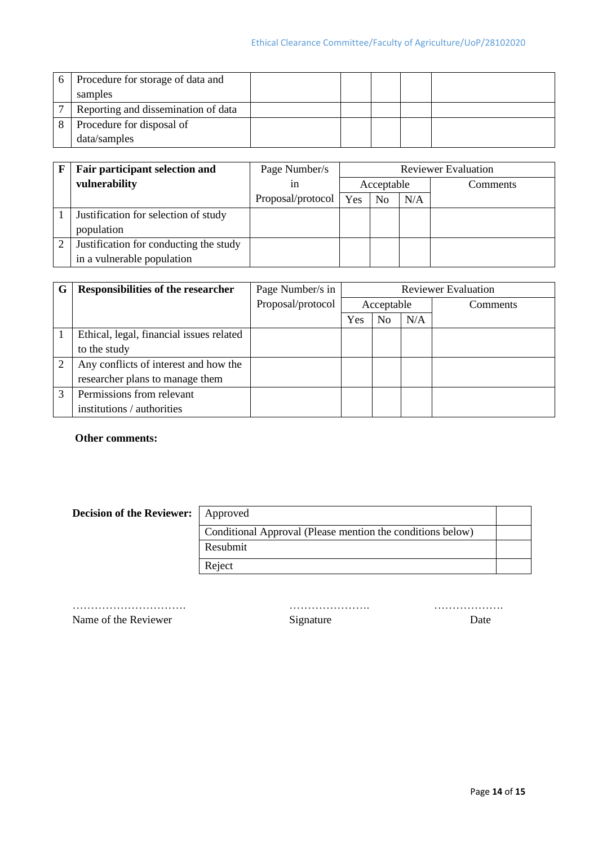| 6 | Procedure for storage of data and   |  |  |  |
|---|-------------------------------------|--|--|--|
|   | samples                             |  |  |  |
|   | Reporting and dissemination of data |  |  |  |
|   | Procedure for disposal of           |  |  |  |
|   | data/samples                        |  |  |  |

| Fair participant selection and         | Page Number/s           |            | <b>Reviewer Evaluation</b> |     |          |  |  |
|----------------------------------------|-------------------------|------------|----------------------------|-----|----------|--|--|
| vulnerability                          | 1n                      | Acceptable |                            |     | Comments |  |  |
|                                        | Proposal/protocol   Yes |            | No                         | N/A |          |  |  |
| Justification for selection of study   |                         |            |                            |     |          |  |  |
| population                             |                         |            |                            |     |          |  |  |
| Justification for conducting the study |                         |            |                            |     |          |  |  |
| in a vulnerable population             |                         |            |                            |     |          |  |  |

| G | <b>Responsibilities of the researcher</b> | Page Number/s in  |            |                |     | <b>Reviewer Evaluation</b> |  |
|---|-------------------------------------------|-------------------|------------|----------------|-----|----------------------------|--|
|   |                                           | Proposal/protocol | Acceptable |                |     | <b>Comments</b>            |  |
|   |                                           |                   | Yes        | N <sub>0</sub> | N/A |                            |  |
|   | Ethical, legal, financial issues related  |                   |            |                |     |                            |  |
|   | to the study                              |                   |            |                |     |                            |  |
|   | Any conflicts of interest and how the     |                   |            |                |     |                            |  |
|   | researcher plans to manage them           |                   |            |                |     |                            |  |
|   | Permissions from relevant                 |                   |            |                |     |                            |  |
|   | institutions / authorities                |                   |            |                |     |                            |  |

#### **Other comments:**

| <b>Decision of the Reviewer:</b>   Approved |                                                            |  |
|---------------------------------------------|------------------------------------------------------------|--|
|                                             | Conditional Approval (Please mention the conditions below) |  |
|                                             | Resubmit                                                   |  |
|                                             | Reject                                                     |  |

…………………………. …………………. ………………. Name of the Reviewer Signature Signature Date